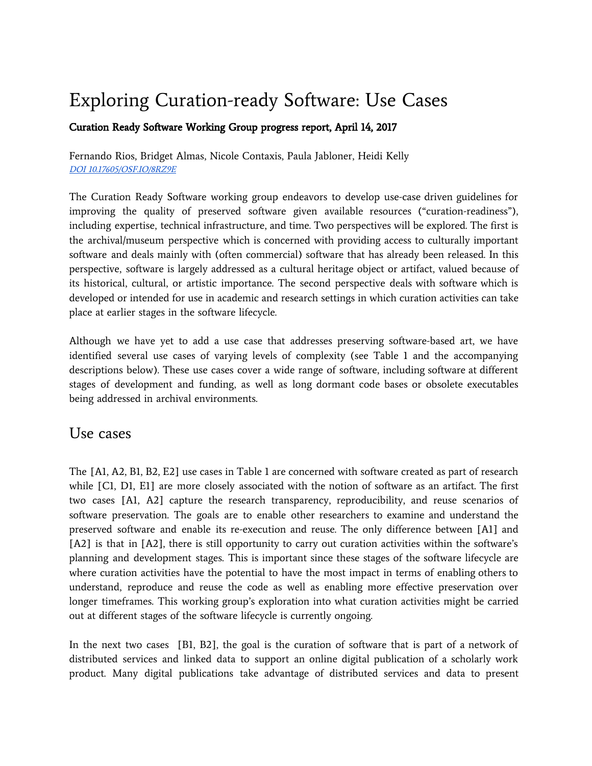# Exploring Curation-ready Software: Use Cases

#### Curation Ready Software Working Group progress report, April 14, 2017

Fernando Rios, Bridget Almas, Nicole Contaxis, Paula Jabloner, Heidi Kelly DOI [10.17605/OSF.IO/8RZ9E](http://doi.org/10.17605/OSF.IO/8RZ9E)

The Curation Ready Software working group endeavors to develop use-case driven guidelines for improving the quality of preserved software given available resources ("curation-readiness"), including expertise, technical infrastructure, and time. Two perspectives will be explored. The first is the archival/museum perspective which is concerned with providing access to culturally important software and deals mainly with (often commercial) software that has already been released. In this perspective, software is largely addressed as a cultural heritage object or artifact, valued because of its historical, cultural, or artistic importance. The second perspective deals with software which is developed or intended for use in academic and research settings in which curation activities can take place at earlier stages in the software lifecycle.

Although we have yet to add a use case that addresses preserving software-based art, we have identified several use cases of varying levels of complexity (see Table 1 and the accompanying descriptions below). These use cases cover a wide range of software, including software at different stages of development and funding, as well as long dormant code bases or obsolete executables being addressed in archival environments.

#### Use cases

The [A1, A2, B1, B2, E2] use cases in Table 1 are concerned with software created as part of research while [C1, D1, E1] are more closely associated with the notion of software as an artifact. The first two cases [A1, A2] capture the research transparency, reproducibility, and reuse scenarios of software preservation. The goals are to enable other researchers to examine and understand the preserved software and enable its re-execution and reuse. The only difference between [A1] and [A2] is that in [A2], there is still opportunity to carry out curation activities within the software's planning and development stages. This is important since these stages of the software lifecycle are where curation activities have the potential to have the most impact in terms of enabling others to understand, reproduce and reuse the code as well as enabling more effective preservation over longer timeframes. This working group's exploration into what curation activities might be carried out at different stages of the software lifecycle is currently ongoing.

In the next two cases [B1, B2], the goal is the curation of software that is part of a network of distributed services and linked data to support an online digital publication of a scholarly work product. Many digital publications take advantage of distributed services and data to present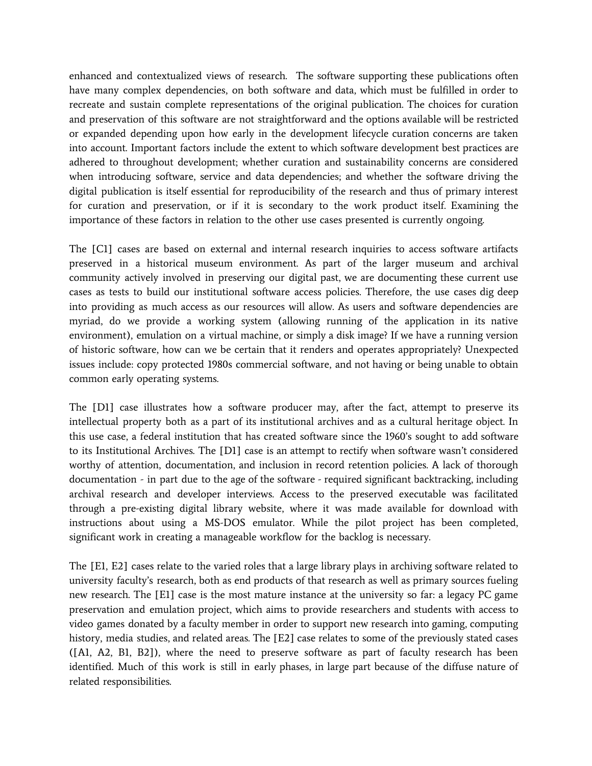enhanced and contextualized views of research. The software supporting these publications often have many complex dependencies, on both software and data, which must be fulfilled in order to recreate and sustain complete representations of the original publication. The choices for curation and preservation of this software are not straightforward and the options available will be restricted or expanded depending upon how early in the development lifecycle curation concerns are taken into account. Important factors include the extent to which software development best practices are adhered to throughout development; whether curation and sustainability concerns are considered when introducing software, service and data dependencies; and whether the software driving the digital publication is itself essential for reproducibility of the research and thus of primary interest for curation and preservation, or if it is secondary to the work product itself. Examining the importance of these factors in relation to the other use cases presented is currently ongoing.

The [C1] cases are based on external and internal research inquiries to access software artifacts preserved in a historical museum environment. As part of the larger museum and archival community actively involved in preserving our digital past, we are documenting these current use cases as tests to build our institutional software access policies. Therefore, the use cases dig deep into providing as much access as our resources will allow. As users and software dependencies are myriad, do we provide a working system (allowing running of the application in its native environment), emulation on a virtual machine, or simply a disk image? If we have a running version of historic software, how can we be certain that it renders and operates appropriately? Unexpected issues include: copy protected 1980s commercial software, and not having or being unable to obtain common early operating systems.

The [D1] case illustrates how a software producer may, after the fact, attempt to preserve its intellectual property both as a part of its institutional archives and as a cultural heritage object. In this use case, a federal institution that has created software since the 1960's sought to add software to its Institutional Archives. The [D1] case is an attempt to rectify when software wasn't considered worthy of attention, documentation, and inclusion in record retention policies. A lack of thorough documentation - in part due to the age of the software - required significant backtracking, including archival research and developer interviews. Access to the preserved executable was facilitated through a pre-existing digital library website, where it was made available for download with instructions about using a MS-DOS emulator. While the pilot project has been completed, significant work in creating a manageable workflow for the backlog is necessary.

The [E1, E2] cases relate to the varied roles that a large library plays in archiving software related to university faculty's research, both as end products of that research as well as primary sources fueling new research. The [E1] case is the most mature instance at the university so far: a legacy PC game preservation and emulation project, which aims to provide researchers and students with access to video games donated by a faculty member in order to support new research into gaming, computing history, media studies, and related areas. The [E2] case relates to some of the previously stated cases ([A1, A2, B1, B2]), where the need to preserve software as part of faculty research has been identified. Much of this work is still in early phases, in large part because of the diffuse nature of related responsibilities.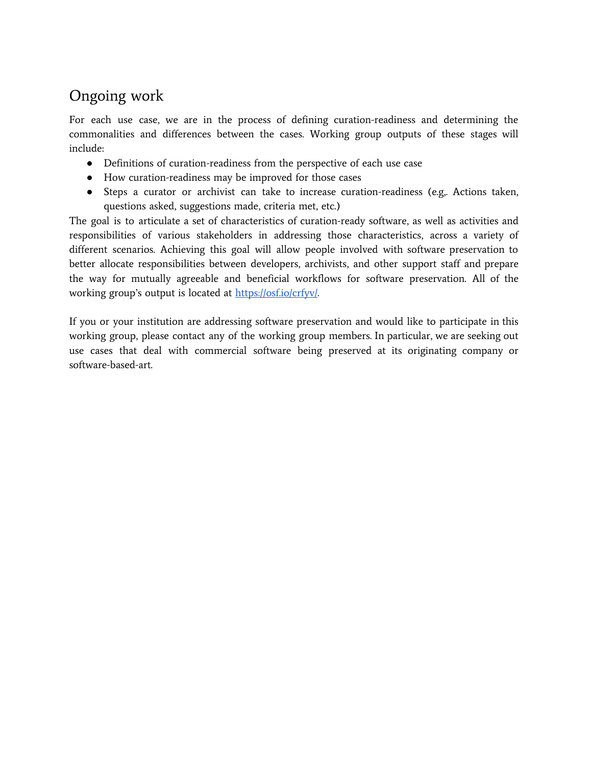## Ongoing work

For each use case, we are in the process of defining curation-readiness and determining the commonalities and differences between the cases. Working group outputs of these stages will include:

- Definitions of curation-readiness from the perspective of each use case
- How curation-readiness may be improved for those cases
- Steps a curator or archivist can take to increase curation-readiness (e.g,. Actions taken, questions asked, suggestions made, criteria met, etc.)

The goal is to articulate a set of characteristics of curation-ready software, as well as activities and responsibilities of various stakeholders in addressing those characteristics, across a variety of different scenarios. Achieving this goal will allow people involved with software preservation to better allocate responsibilities between developers, archivists, and other support staff and prepare the way for mutually agreeable and beneficial workflows for software preservation. All of the working group's output is located at [https://osf.io/crfyv/.](https://osf.io/crfyv/)

If you or your institution are addressing software preservation and would like to participate in this working group, please contact any of the working group members. In particular, we are seeking out use cases that deal with commercial software being preserved at its originating company or software-based-art.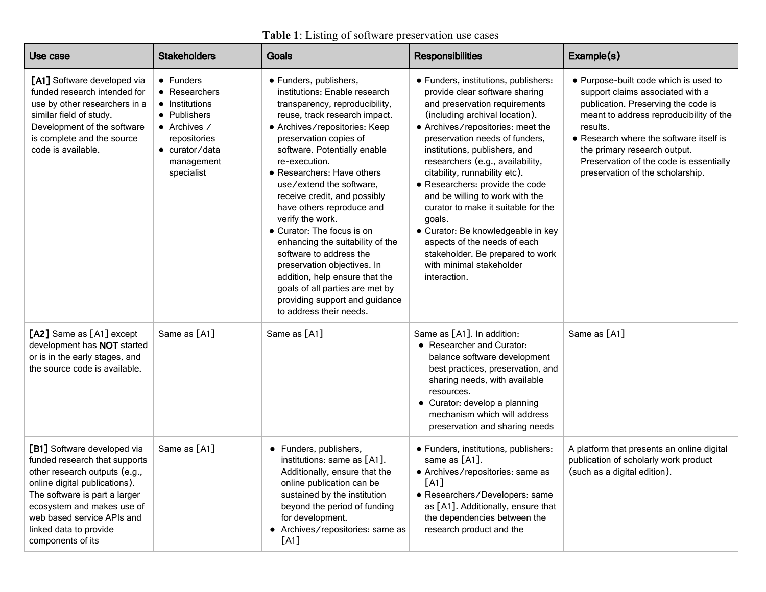### **Table 1**: Listing of software preservation use cases

| Use case                                                                                                                                                                                                                                                                   | <b>Stakeholders</b>                                                                                                                                        | <b>Goals</b>                                                                                                                                                                                                                                                                                                                                                                                                                                                                                                                                                                                                                                    | <b>Responsibilities</b>                                                                                                                                                                                                                                                                                                                                                                                                                                                                                                                                                                             | Example(s)                                                                                                                                                                                                                                                                                                                        |
|----------------------------------------------------------------------------------------------------------------------------------------------------------------------------------------------------------------------------------------------------------------------------|------------------------------------------------------------------------------------------------------------------------------------------------------------|-------------------------------------------------------------------------------------------------------------------------------------------------------------------------------------------------------------------------------------------------------------------------------------------------------------------------------------------------------------------------------------------------------------------------------------------------------------------------------------------------------------------------------------------------------------------------------------------------------------------------------------------------|-----------------------------------------------------------------------------------------------------------------------------------------------------------------------------------------------------------------------------------------------------------------------------------------------------------------------------------------------------------------------------------------------------------------------------------------------------------------------------------------------------------------------------------------------------------------------------------------------------|-----------------------------------------------------------------------------------------------------------------------------------------------------------------------------------------------------------------------------------------------------------------------------------------------------------------------------------|
| [A1] Software developed via<br>funded research intended for<br>use by other researchers in a<br>similar field of study.<br>Development of the software<br>is complete and the source<br>code is available.                                                                 | $\bullet$ Funders<br>• Researchers<br>• Institutions<br>• Publishers<br>$\bullet$ Archives /<br>repositories<br>• curator/data<br>management<br>specialist | · Funders, publishers,<br>institutions: Enable research<br>transparency, reproducibility,<br>reuse, track research impact.<br>• Archives/repositories: Keep<br>preservation copies of<br>software. Potentially enable<br>re-execution.<br>• Researchers: Have others<br>use/extend the software.<br>receive credit, and possibly<br>have others reproduce and<br>verify the work.<br>• Curator: The focus is on<br>enhancing the suitability of the<br>software to address the<br>preservation objectives. In<br>addition, help ensure that the<br>goals of all parties are met by<br>providing support and guidance<br>to address their needs. | • Funders, institutions, publishers:<br>provide clear software sharing<br>and preservation requirements<br>(including archival location).<br>• Archives/repositories: meet the<br>preservation needs of funders,<br>institutions, publishers, and<br>researchers (e.g., availability,<br>citability, runnability etc).<br>· Researchers: provide the code<br>and be willing to work with the<br>curator to make it suitable for the<br>goals.<br>• Curator: Be knowledgeable in key<br>aspects of the needs of each<br>stakeholder. Be prepared to work<br>with minimal stakeholder<br>interaction. | • Purpose-built code which is used to<br>support claims associated with a<br>publication. Preserving the code is<br>meant to address reproducibility of the<br>results.<br>• Research where the software itself is<br>the primary research output.<br>Preservation of the code is essentially<br>preservation of the scholarship. |
| [A2] Same as [A1] except<br>development has NOT started<br>or is in the early stages, and<br>the source code is available.                                                                                                                                                 | Same as [A1]                                                                                                                                               | Same as [A1]                                                                                                                                                                                                                                                                                                                                                                                                                                                                                                                                                                                                                                    | Same as [A1]. In addition:<br>• Researcher and Curator:<br>balance software development<br>best practices, preservation, and<br>sharing needs, with available<br>resources.<br>• Curator: develop a planning<br>mechanism which will address<br>preservation and sharing needs                                                                                                                                                                                                                                                                                                                      | Same as [A1]                                                                                                                                                                                                                                                                                                                      |
| [B1] Software developed via<br>funded research that supports<br>other research outputs (e.g.,<br>online digital publications).<br>The software is part a larger<br>ecosystem and makes use of<br>web based service APIs and<br>linked data to provide<br>components of its | Same as [A1]                                                                                                                                               | • Funders, publishers,<br>institutions: same as [A1].<br>Additionally, ensure that the<br>online publication can be<br>sustained by the institution<br>beyond the period of funding<br>for development.<br>• Archives/repositories: same as<br>[A1]                                                                                                                                                                                                                                                                                                                                                                                             | · Funders, institutions, publishers:<br>same as $[A1]$ .<br>• Archives/repositories: same as<br>[A1]<br>· Researchers/Developers: same<br>as [A1]. Additionally, ensure that<br>the dependencies between the<br>research product and the                                                                                                                                                                                                                                                                                                                                                            | A platform that presents an online digital<br>publication of scholarly work product<br>(such as a digital edition).                                                                                                                                                                                                               |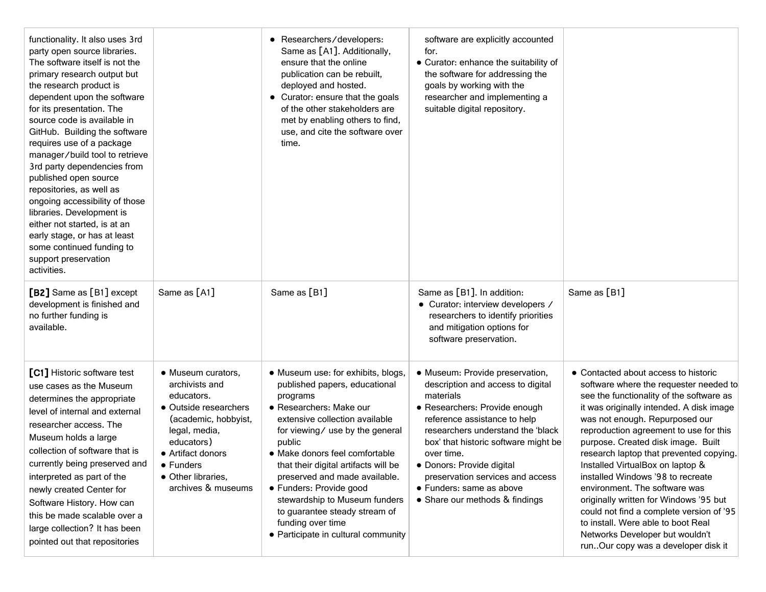| functionality. It also uses 3rd<br>party open source libraries.<br>The software itself is not the<br>primary research output but<br>the research product is<br>dependent upon the software<br>for its presentation. The<br>source code is available in<br>GitHub. Building the software<br>requires use of a package<br>manager/build tool to retrieve<br>3rd party dependencies from<br>published open source<br>repositories, as well as<br>ongoing accessibility of those<br>libraries. Development is<br>either not started, is at an<br>early stage, or has at least<br>some continued funding to<br>support preservation<br>activities. |                                                                                                                                                                                                                  | • Researchers/developers:<br>Same as [A1]. Additionally,<br>ensure that the online<br>publication can be rebuilt,<br>deployed and hosted.<br>• Curator: ensure that the goals<br>of the other stakeholders are<br>met by enabling others to find,<br>use, and cite the software over<br>time.                                                                                                                                                                 | software are explicitly accounted<br>for.<br>• Curator: enhance the suitability of<br>the software for addressing the<br>goals by working with the<br>researcher and implementing a<br>suitable digital repository.                                                                                                                                                          |                                                                                                                                                                                                                                                                                                                                                                                                                                                                                                                                                                                                                                                     |
|-----------------------------------------------------------------------------------------------------------------------------------------------------------------------------------------------------------------------------------------------------------------------------------------------------------------------------------------------------------------------------------------------------------------------------------------------------------------------------------------------------------------------------------------------------------------------------------------------------------------------------------------------|------------------------------------------------------------------------------------------------------------------------------------------------------------------------------------------------------------------|---------------------------------------------------------------------------------------------------------------------------------------------------------------------------------------------------------------------------------------------------------------------------------------------------------------------------------------------------------------------------------------------------------------------------------------------------------------|------------------------------------------------------------------------------------------------------------------------------------------------------------------------------------------------------------------------------------------------------------------------------------------------------------------------------------------------------------------------------|-----------------------------------------------------------------------------------------------------------------------------------------------------------------------------------------------------------------------------------------------------------------------------------------------------------------------------------------------------------------------------------------------------------------------------------------------------------------------------------------------------------------------------------------------------------------------------------------------------------------------------------------------------|
| [B2] Same as [B1] except<br>development is finished and<br>no further funding is<br>available.                                                                                                                                                                                                                                                                                                                                                                                                                                                                                                                                                | Same as [A1]                                                                                                                                                                                                     | Same as [B1]                                                                                                                                                                                                                                                                                                                                                                                                                                                  | Same as [B1]. In addition:<br>• Curator: interview developers /<br>researchers to identify priorities<br>and mitigation options for<br>software preservation.                                                                                                                                                                                                                | Same as [B1]                                                                                                                                                                                                                                                                                                                                                                                                                                                                                                                                                                                                                                        |
| [C1] Historic software test<br>use cases as the Museum<br>determines the appropriate<br>level of internal and external<br>researcher access. The<br>Museum holds a large<br>collection of software that is<br>currently being preserved and<br>interpreted as part of the<br>newly created Center for<br>Software History. How can<br>this be made scalable over a<br>large collection? It has been<br>pointed out that repositories                                                                                                                                                                                                          | • Museum curators,<br>archivists and<br>educators.<br>• Outside researchers<br>(academic, hobbyist,<br>legal, media,<br>educators)<br>• Artifact donors<br>• Funders<br>• Other libraries,<br>archives & museums | • Museum use: for exhibits, blogs,<br>published papers, educational<br>programs<br>• Researchers: Make our<br>extensive collection available<br>for viewing/ use by the general<br>public<br>• Make donors feel comfortable<br>that their digital artifacts will be<br>preserved and made available.<br>• Funders: Provide good<br>stewardship to Museum funders<br>to guarantee steady stream of<br>funding over time<br>• Participate in cultural community | · Museum: Provide preservation,<br>description and access to digital<br>materials<br>• Researchers: Provide enough<br>reference assistance to help<br>researchers understand the 'black<br>box' that historic software might be<br>over time.<br>· Donors: Provide digital<br>preservation services and access<br>• Funders: same as above<br>• Share our methods & findings | • Contacted about access to historic<br>software where the requester needed to<br>see the functionality of the software as<br>it was originally intended. A disk image<br>was not enough. Repurposed our<br>reproduction agreement to use for this<br>purpose. Created disk image. Built<br>research laptop that prevented copying.<br>Installed VirtualBox on laptop &<br>installed Windows '98 to recreate<br>environment. The software was<br>originally written for Windows '95 but<br>could not find a complete version of '95<br>to install. Were able to boot Real<br>Networks Developer but wouldn't<br>runOur copy was a developer disk it |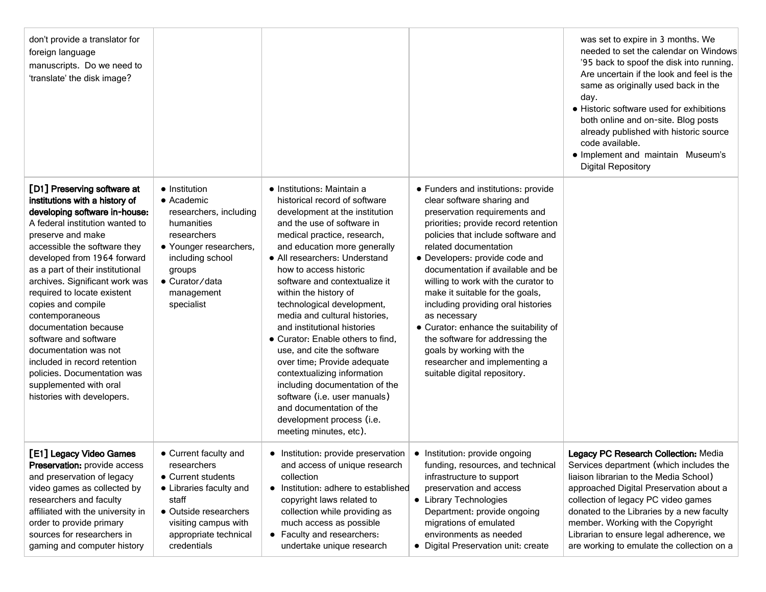| don't provide a translator for<br>foreign language<br>manuscripts. Do we need to<br>'translate' the disk image?                                                                                                                                                                                                                                                                                                                                                                                                                                                        |                                                                                                                                                                                                  |                                                                                                                                                                                                                                                                                                                                                                                                                                                                                                                                                                                                                                                                                                     |                                                                                                                                                                                                                                                                                                                                                                                                                                                                                                                                                                                            | was set to expire in 3 months. We<br>needed to set the calendar on Windows<br>'95 back to spoof the disk into running.<br>Are uncertain if the look and feel is the<br>same as originally used back in the<br>day.<br>• Historic software used for exhibitions<br>both online and on-site. Blog posts<br>already published with historic source<br>code available.<br>• Implement and maintain Museum's<br><b>Digital Repository</b> |
|------------------------------------------------------------------------------------------------------------------------------------------------------------------------------------------------------------------------------------------------------------------------------------------------------------------------------------------------------------------------------------------------------------------------------------------------------------------------------------------------------------------------------------------------------------------------|--------------------------------------------------------------------------------------------------------------------------------------------------------------------------------------------------|-----------------------------------------------------------------------------------------------------------------------------------------------------------------------------------------------------------------------------------------------------------------------------------------------------------------------------------------------------------------------------------------------------------------------------------------------------------------------------------------------------------------------------------------------------------------------------------------------------------------------------------------------------------------------------------------------------|--------------------------------------------------------------------------------------------------------------------------------------------------------------------------------------------------------------------------------------------------------------------------------------------------------------------------------------------------------------------------------------------------------------------------------------------------------------------------------------------------------------------------------------------------------------------------------------------|--------------------------------------------------------------------------------------------------------------------------------------------------------------------------------------------------------------------------------------------------------------------------------------------------------------------------------------------------------------------------------------------------------------------------------------|
| [D1] Preserving software at<br>institutions with a history of<br>developing software in-house:<br>A federal institution wanted to<br>preserve and make<br>accessible the software they<br>developed from 1964 forward<br>as a part of their institutional<br>archives. Significant work was<br>required to locate existent<br>copies and compile<br>contemporaneous<br>documentation because<br>software and software<br>documentation was not<br>included in record retention.<br>policies. Documentation was<br>supplemented with oral<br>histories with developers. | • Institution<br>$\bullet$ Academic<br>researchers, including<br>humanities<br>researchers<br>• Younger researchers,<br>including school<br>groups<br>• Curator/data<br>management<br>specialist | • Institutions: Maintain a<br>historical record of software<br>development at the institution<br>and the use of software in<br>medical practice, research,<br>and education more generally<br>• All researchers: Understand<br>how to access historic<br>software and contextualize it<br>within the history of<br>technological development,<br>media and cultural histories,<br>and institutional histories<br>• Curator: Enable others to find,<br>use, and cite the software<br>over time; Provide adequate<br>contextualizing information<br>including documentation of the<br>software (i.e. user manuals)<br>and documentation of the<br>development process (i.e.<br>meeting minutes, etc). | • Funders and institutions: provide<br>clear software sharing and<br>preservation requirements and<br>priorities; provide record retention<br>policies that include software and<br>related documentation<br>• Developers: provide code and<br>documentation if available and be<br>willing to work with the curator to<br>make it suitable for the goals,<br>including providing oral histories<br>as necessary<br>• Curator: enhance the suitability of<br>the software for addressing the<br>goals by working with the<br>researcher and implementing a<br>suitable digital repository. |                                                                                                                                                                                                                                                                                                                                                                                                                                      |
| [E1] Legacy Video Games<br>Preservation: provide access<br>and preservation of legacy<br>video games as collected by<br>researchers and faculty<br>affiliated with the university in<br>order to provide primary<br>sources for researchers in<br>gaming and computer history                                                                                                                                                                                                                                                                                          | • Current faculty and<br>researchers<br>• Current students<br>• Libraries faculty and<br>staff<br>• Outside researchers<br>visiting campus with<br>appropriate technical<br>credentials          | • Institution: provide preservation  <br>and access of unique research<br>collection<br>• Institution: adhere to established<br>copyright laws related to<br>collection while providing as<br>much access as possible<br>• Faculty and researchers:<br>undertake unique research                                                                                                                                                                                                                                                                                                                                                                                                                    | • Institution: provide ongoing<br>funding, resources, and technical<br>infrastructure to support<br>preservation and access<br>• Library Technologies<br>Department: provide ongoing<br>migrations of emulated<br>environments as needed<br>• Digital Preservation unit: create                                                                                                                                                                                                                                                                                                            | Legacy PC Research Collection: Media<br>Services department (which includes the<br>liaison librarian to the Media School)<br>approached Digital Preservation about a<br>collection of legacy PC video games<br>donated to the Libraries by a new faculty<br>member. Working with the Copyright<br>Librarian to ensure legal adherence, we<br>are working to emulate the collection on a                                              |